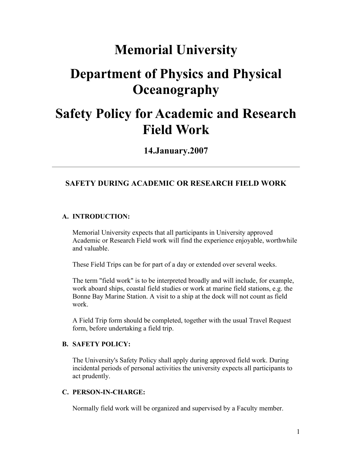# **Memorial University**

# **Department of Physics and Physical Oceanography**

# **Safety Policy for Academic and Research Field Work**

**14.January.2007**

# **SAFETY DURING ACADEMIC OR RESEARCH FIELD WORK**

#### **A. INTRODUCTION:**

Memorial University expects that all participants in University approved Academic or Research Field work will find the experience enjoyable, worthwhile and valuable.

These Field Trips can be for part of a day or extended over several weeks.

The term "field work" is to be interpreted broadly and will include, for example, work aboard ships, coastal field studies or work at marine field stations, e.g. the Bonne Bay Marine Station. A visit to a ship at the dock will not count as field work.

A Field Trip form should be completed, together with the usual Travel Request form, before undertaking a field trip.

#### **B. SAFETY POLICY:**

The University's Safety Policy shall apply during approved field work. During incidental periods of personal activities the university expects all participants to act prudently.

#### **C. PERSON-IN-CHARGE:**

Normally field work will be organized and supervised by a Faculty member.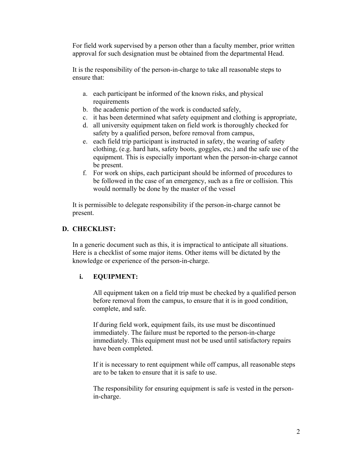For field work supervised by a person other than a faculty member, prior written approval for such designation must be obtained from the departmental Head.

It is the responsibility of the person-in-charge to take all reasonable steps to ensure that:

- a. each participant be informed of the known risks, and physical requirements
- b. the academic portion of the work is conducted safely,
- c. it has been determined what safety equipment and clothing is appropriate,
- d. all university equipment taken on field work is thoroughly checked for safety by a qualified person, before removal from campus,
- e. each field trip participant is instructed in safety, the wearing of safety clothing, (e.g. hard hats, safety boots, goggles, etc.) and the safe use of the equipment. This is especially important when the person-in-charge cannot be present.
- f. For work on ships, each participant should be informed of procedures to be followed in the case of an emergency, such as a fire or collision. This would normally be done by the master of the vessel

It is permissible to delegate responsibility if the person-in-charge cannot be present.

## **D. CHECKLIST:**

In a generic document such as this, it is impractical to anticipate all situations. Here is a checklist of some major items. Other items will be dictated by the knowledge or experience of the person-in-charge.

### **i. EQUIPMENT:**

All equipment taken on a field trip must be checked by a qualified person before removal from the campus, to ensure that it is in good condition, complete, and safe.

If during field work, equipment fails, its use must be discontinued immediately. The failure must be reported to the person-in-charge immediately. This equipment must not be used until satisfactory repairs have been completed.

If it is necessary to rent equipment while off campus, all reasonable steps are to be taken to ensure that it is safe to use.

The responsibility for ensuring equipment is safe is vested in the personin-charge.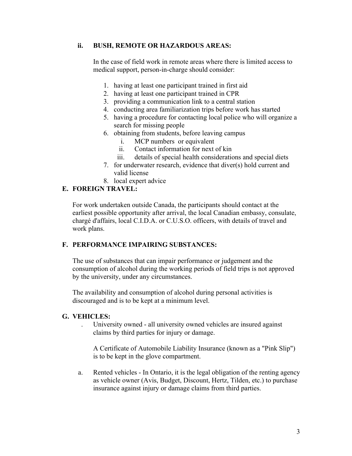## **ii. BUSH, REMOTE OR HAZARDOUS AREAS:**

In the case of field work in remote areas where there is limited access to medical support, person-in-charge should consider:

- 1. having at least one participant trained in first aid
- 2. having at least one participant trained in CPR
- 3. providing a communication link to a central station
- 4. conducting area familiarization trips before work has started
- 5. having a procedure for contacting local police who will organize a search for missing people
- 6. obtaining from students, before leaving campus
	- i. MCP numbers or equivalent
	- ii. Contact information for next of kin
	- iii. details of special health considerations and special diets
- 7. for underwater research, evidence that diver(s) hold current and valid license
- 8. local expert advice

## **E. FOREIGN TRAVEL:**

For work undertaken outside Canada, the participants should contact at the earliest possible opportunity after arrival, the local Canadian embassy, consulate, chargé d'affairs, local C.I.D.A. or C.U.S.O. officers, with details of travel and work plans.

## **F. PERFORMANCE IMPAIRING SUBSTANCES:**

The use of substances that can impair performance or judgement and the consumption of alcohol during the working periods of field trips is not approved by the university, under any circumstances.

The availability and consumption of alcohol during personal activities is discouraged and is to be kept at a minimum level.

### **G. VEHICLES:**

 . University owned - all university owned vehicles are insured against claims by third parties for injury or damage.

A Certificate of Automobile Liability Insurance (known as a "Pink Slip") is to be kept in the glove compartment.

a. Rented vehicles - In Ontario, it is the legal obligation of the renting agency as vehicle owner (Avis, Budget, Discount, Hertz, Tilden, etc.) to purchase insurance against injury or damage claims from third parties.